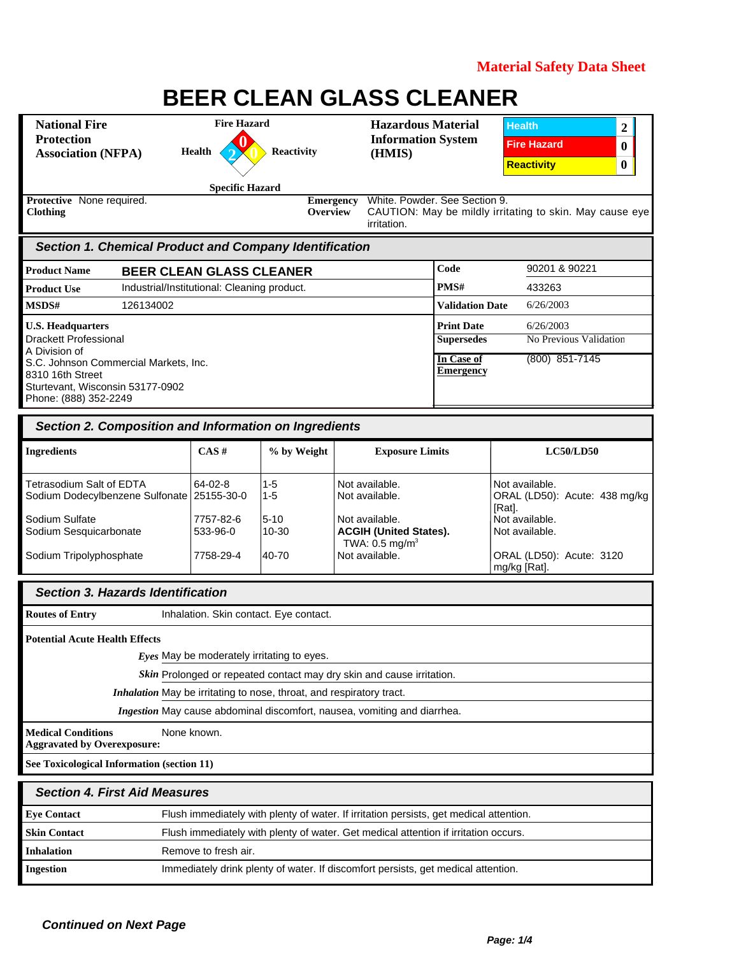| <b>National Fire</b><br><b>Protection</b><br><b>Association (NFPA)</b>                                                                 | <b>Fire Hazard</b><br>Health                | <b>Reactivity</b>                                                    | <b>Hazardous Material</b><br><b>Information System</b><br>(HMIS)                       |                                                                          | <b>Health</b><br>2<br><b>Fire Hazard</b><br>0<br><b>Reactivity</b><br>0 |
|----------------------------------------------------------------------------------------------------------------------------------------|---------------------------------------------|----------------------------------------------------------------------|----------------------------------------------------------------------------------------|--------------------------------------------------------------------------|-------------------------------------------------------------------------|
| Protective None required.<br><b>Clothing</b>                                                                                           | <b>Specific Hazard</b>                      | Overview                                                             | White. Powder. See Section 9.<br><b>Emergency</b><br>irritation.                       |                                                                          | CAUTION: May be mildly irritating to skin. May cause eye                |
| <b>Section 1. Chemical Product and Company Identification</b>                                                                          |                                             |                                                                      |                                                                                        |                                                                          |                                                                         |
| <b>Product Name</b>                                                                                                                    | <b>BEER CLEAN GLASS CLEANER</b>             |                                                                      |                                                                                        | Code                                                                     | 90201 & 90221                                                           |
| <b>Product Use</b>                                                                                                                     | Industrial/Institutional: Cleaning product. |                                                                      |                                                                                        | PMS#                                                                     | 433263                                                                  |
| MSDS#<br>126134002                                                                                                                     |                                             |                                                                      |                                                                                        | <b>Validation Date</b>                                                   | 6/26/2003                                                               |
| <b>U.S. Headquarters</b><br><b>Drackett Professional</b><br>A Division of<br>S.C. Johnson Commercial Markets, Inc.<br>8310 16th Street |                                             |                                                                      |                                                                                        | <b>Print Date</b><br><b>Supersedes</b><br>In Case of<br><b>Emergency</b> | 6/26/2003<br>No Previous Validation<br>$(800)$ 851-7145                 |
| Sturtevant, Wisconsin 53177-0902<br>Phone: (888) 352-2249                                                                              |                                             |                                                                      |                                                                                        |                                                                          |                                                                         |
| Section 2. Composition and Information on Ingredients                                                                                  |                                             |                                                                      |                                                                                        |                                                                          |                                                                         |
| <b>Ingredients</b>                                                                                                                     | CAS#                                        | % by Weight                                                          | <b>Exposure Limits</b>                                                                 |                                                                          | <b>LC50/LD50</b>                                                        |
| Tetrasodium Salt of EDTA<br>Sodium Dodecylbenzene Sulfonate 25155-30-0                                                                 | 64-02-8                                     | $1 - 5$<br>$1 - 5$                                                   | Not available.<br>Not available.                                                       |                                                                          | Not available.<br>ORAL (LD50): Acute: 438 mg/kg<br>[Rat].               |
| Sodium Sulfate<br>Sodium Sesquicarbonate                                                                                               | 7757-82-6<br>533-96-0                       | $5 - 10$<br>$10 - 30$                                                | Not available.<br><b>ACGIH (United States).</b><br>TWA: $0.5$ mg/m <sup>3</sup>        |                                                                          | Not available.<br>Not available.                                        |
| Sodium Tripolyphosphate                                                                                                                | 7758-29-4                                   | 40-70                                                                | Not available.                                                                         |                                                                          | ORAL (LD50): Acute: 3120<br>mg/kg [Rat].                                |
| <b>Section 3. Hazards Identification</b>                                                                                               |                                             |                                                                      |                                                                                        |                                                                          |                                                                         |
| <b>Routes of Entry</b>                                                                                                                 |                                             | Inhalation. Skin contact. Eye contact.                               |                                                                                        |                                                                          |                                                                         |
| <b>Potential Acute Health Effects</b>                                                                                                  |                                             |                                                                      |                                                                                        |                                                                          |                                                                         |
|                                                                                                                                        | Eyes May be moderately irritating to eyes.  |                                                                      |                                                                                        |                                                                          |                                                                         |
|                                                                                                                                        |                                             |                                                                      | Skin Prolonged or repeated contact may dry skin and cause irritation.                  |                                                                          |                                                                         |
|                                                                                                                                        |                                             | Inhalation May be irritating to nose, throat, and respiratory tract. |                                                                                        |                                                                          |                                                                         |
|                                                                                                                                        |                                             |                                                                      | Ingestion May cause abdominal discomfort, nausea, vomiting and diarrhea.               |                                                                          |                                                                         |
| <b>Medical Conditions</b><br><b>Aggravated by Overexposure:</b>                                                                        | None known.                                 |                                                                      |                                                                                        |                                                                          |                                                                         |
| See Toxicological Information (section 11)                                                                                             |                                             |                                                                      |                                                                                        |                                                                          |                                                                         |
| <b>Section 4. First Aid Measures</b>                                                                                                   |                                             |                                                                      |                                                                                        |                                                                          |                                                                         |
| <b>Eye Contact</b>                                                                                                                     |                                             |                                                                      | Flush immediately with plenty of water. If irritation persists, get medical attention. |                                                                          |                                                                         |
| <b>Skin Contact</b>                                                                                                                    |                                             |                                                                      | Flush immediately with plenty of water. Get medical attention if irritation occurs.    |                                                                          |                                                                         |
| <b>Inhalation</b>                                                                                                                      | Remove to fresh air.                        |                                                                      |                                                                                        |                                                                          |                                                                         |
| <b>Ingestion</b>                                                                                                                       |                                             |                                                                      | Immediately drink plenty of water. If discomfort persists, get medical attention.      |                                                                          |                                                                         |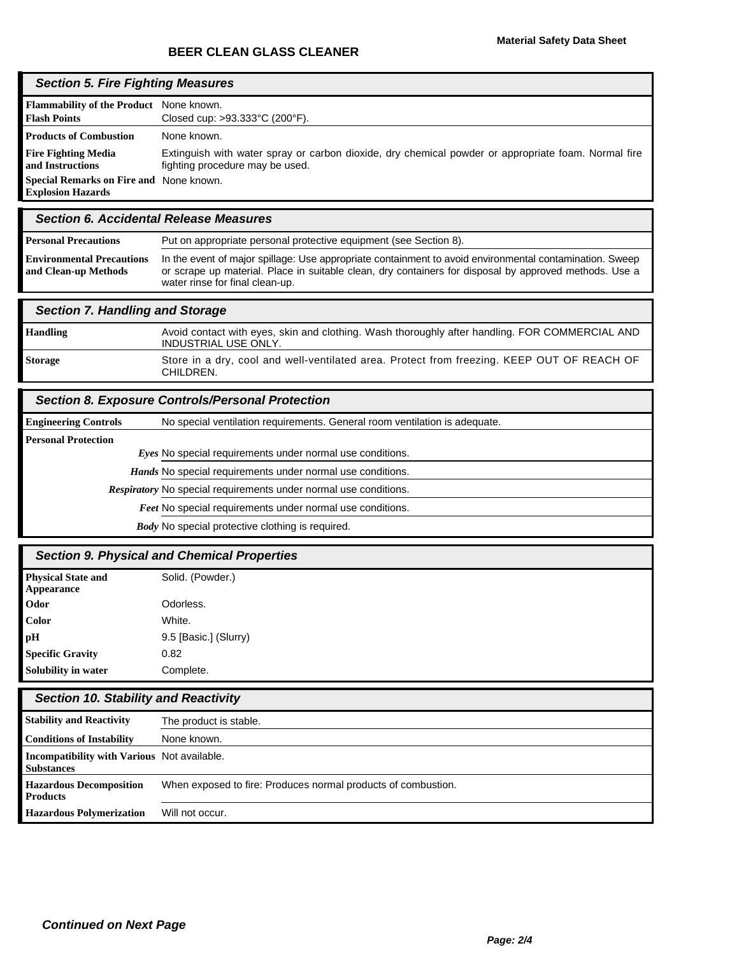# *Section 5. Fire Fighting Measures*

| Flammability of the Product None known.                        |                                                                                                                                        |
|----------------------------------------------------------------|----------------------------------------------------------------------------------------------------------------------------------------|
| <b>Flash Points</b>                                            | Closed cup: $>93.333^{\circ}$ C (200 $^{\circ}$ F).                                                                                    |
| <b>Products of Combustion</b>                                  | None known.                                                                                                                            |
| <b>Fire Fighting Media</b><br>and Instructions                 | Extinguish with water spray or carbon dioxide, dry chemical powder or appropriate foam. Normal fire<br>fighting procedure may be used. |
| <b>Special Remarks on Fire and</b><br><b>Explosion Hazards</b> | None known.                                                                                                                            |
|                                                                |                                                                                                                                        |

## *Section 6. Accidental Release Measures*

| <b>Personal Precautions</b>                              | Put on appropriate personal protective equipment (see Section 8).                                                                                                                                                                                    |
|----------------------------------------------------------|------------------------------------------------------------------------------------------------------------------------------------------------------------------------------------------------------------------------------------------------------|
| <b>Environmental Precautions</b><br>and Clean-up Methods | In the event of major spillage: Use appropriate containment to avoid environmental contamination. Sweep<br>or scrape up material. Place in suitable clean, dry containers for disposal by approved methods. Use a<br>water rinse for final clean-up. |

#### *Section 7. Handling and Storage*

| <b>Handling</b> | Avoid contact with eyes, skin and clothing. Wash thoroughly after handling. FOR COMMERCIAL AND<br>INDUSTRIAL USE ONLY. |
|-----------------|------------------------------------------------------------------------------------------------------------------------|
| <b>Storage</b>  | Store in a dry, cool and well-ventilated area. Protect from freezing. KEEP OUT OF REACH OF<br>CHILDREN.                |

# *Section 8. Exposure Controls/Personal Protection*

| <b>Engineering Controls</b> | No special ventilation requirements. General room ventilation is adequate. |
|-----------------------------|----------------------------------------------------------------------------|
| <b>Personal Protection</b>  |                                                                            |
|                             | Eyes No special requirements under normal use conditions.                  |
|                             | <i>Hands</i> No special requirements under normal use conditions.          |
|                             | Respiratory No special requirements under normal use conditions.           |
|                             | <b>Feet No special requirements under normal use conditions.</b>           |
|                             | <b>Body</b> No special protective clothing is required.                    |

# *Section 9. Physical and Chemical Properties*

| <b>Physical State and</b><br>Appearance | Solid. (Powder.)      |
|-----------------------------------------|-----------------------|
| Odor                                    | Odorless.             |
| Color                                   | White.                |
| рH                                      | 9.5 [Basic.] (Slurry) |
| <b>Specific Gravity</b>                 | 0.82                  |
| Solubility in water                     | Complete.             |

# *Section 10. Stability and Reactivity*

| <b>Stability and Reactivity</b>                                  | The product is stable.                                        |
|------------------------------------------------------------------|---------------------------------------------------------------|
| <b>Conditions of Instability</b>                                 | None known.                                                   |
| Incompatibility with Various Not available.<br><b>Substances</b> |                                                               |
| <b>Hazardous Decomposition</b><br><b>Products</b>                | When exposed to fire: Produces normal products of combustion. |
| <b>Hazardous Polymerization</b>                                  | Will not occur.                                               |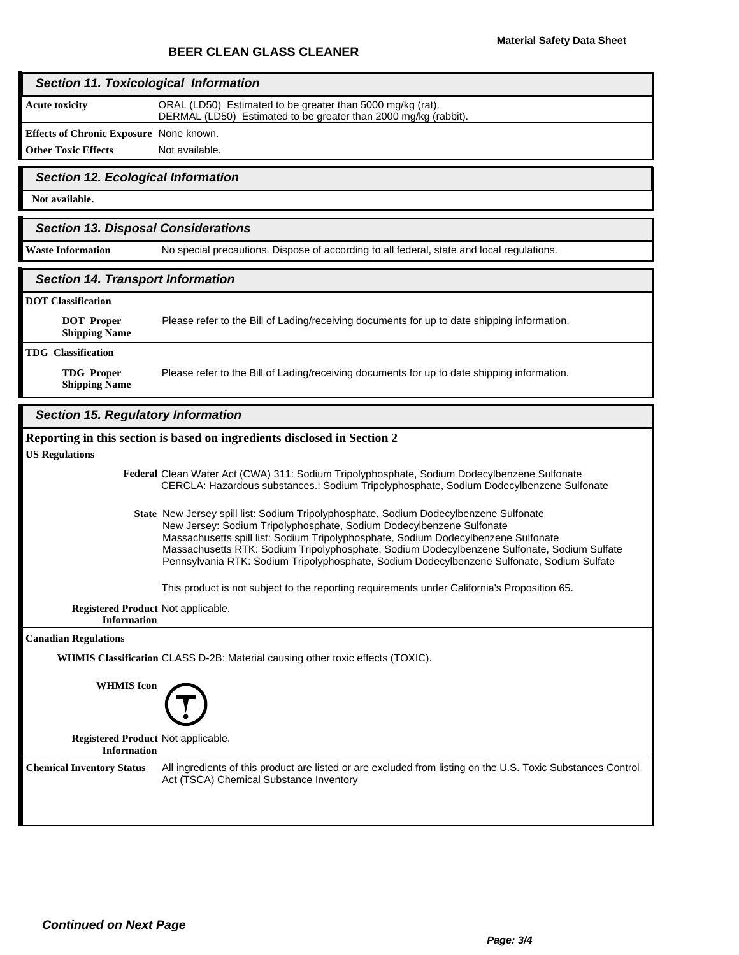#### *Section 11. Toxicological Information*

**Acute toxicity**

ORAL (LD50) Estimated to be greater than 5000 mg/kg (rat). DERMAL (LD50) Estimated to be greater than 2000 mg/kg (rabbit).

**Effects of Chronic Exposure** None known.

**Other Toxic Effects** Not available.

#### *Section 12. Ecological Information*

**Not available.**

### *Section 13. Disposal Considerations*

Waste Information **No special precautions. Dispose of according to all federal, state and local regulations.** 

#### *Section 14. Transport Information*

#### **DOT Classification**

Please refer to the Bill of Lading/receiving documents for up to date shipping information. **DOT Proper Shipping Name TDG Classification** Please refer to the Bill of Lading/receiving documents for up to date shipping information.

**TDG Proper Shipping Name**

# *Section 15. Regulatory Information*

|                                                          | Reporting in this section is based on ingredients disclosed in Section 2                                                                                                                                                                                                                                                                                                                                                                         |
|----------------------------------------------------------|--------------------------------------------------------------------------------------------------------------------------------------------------------------------------------------------------------------------------------------------------------------------------------------------------------------------------------------------------------------------------------------------------------------------------------------------------|
| <b>US Regulations</b>                                    |                                                                                                                                                                                                                                                                                                                                                                                                                                                  |
|                                                          | Federal Clean Water Act (CWA) 311: Sodium Tripolyphosphate, Sodium Dodecylbenzene Sulfonate<br>CERCLA: Hazardous substances.: Sodium Tripolyphosphate, Sodium Dodecylbenzene Sulfonate                                                                                                                                                                                                                                                           |
|                                                          | State New Jersey spill list: Sodium Tripolyphosphate, Sodium Dodecylbenzene Sulfonate<br>New Jersey: Sodium Tripolyphosphate, Sodium Dodecylbenzene Sulfonate<br>Massachusetts spill list: Sodium Tripolyphosphate, Sodium Dodecylbenzene Sulfonate<br>Massachusetts RTK: Sodium Tripolyphosphate, Sodium Dodecylbenzene Sulfonate, Sodium Sulfate<br>Pennsylvania RTK: Sodium Tripolyphosphate, Sodium Dodecylbenzene Sulfonate, Sodium Sulfate |
|                                                          | This product is not subject to the reporting requirements under California's Proposition 65.                                                                                                                                                                                                                                                                                                                                                     |
| Registered Product Not applicable.<br><b>Information</b> |                                                                                                                                                                                                                                                                                                                                                                                                                                                  |
| <b>Canadian Regulations</b>                              |                                                                                                                                                                                                                                                                                                                                                                                                                                                  |
|                                                          | WHMIS Classification CLASS D-2B: Material causing other toxic effects (TOXIC).                                                                                                                                                                                                                                                                                                                                                                   |
| <b>WHMIS</b> Icon                                        |                                                                                                                                                                                                                                                                                                                                                                                                                                                  |
| Registered Product Not applicable.<br><b>Information</b> |                                                                                                                                                                                                                                                                                                                                                                                                                                                  |
| <b>Chemical Inventory Status</b>                         | All ingredients of this product are listed or are excluded from listing on the U.S. Toxic Substances Control<br>Act (TSCA) Chemical Substance Inventory                                                                                                                                                                                                                                                                                          |
|                                                          |                                                                                                                                                                                                                                                                                                                                                                                                                                                  |